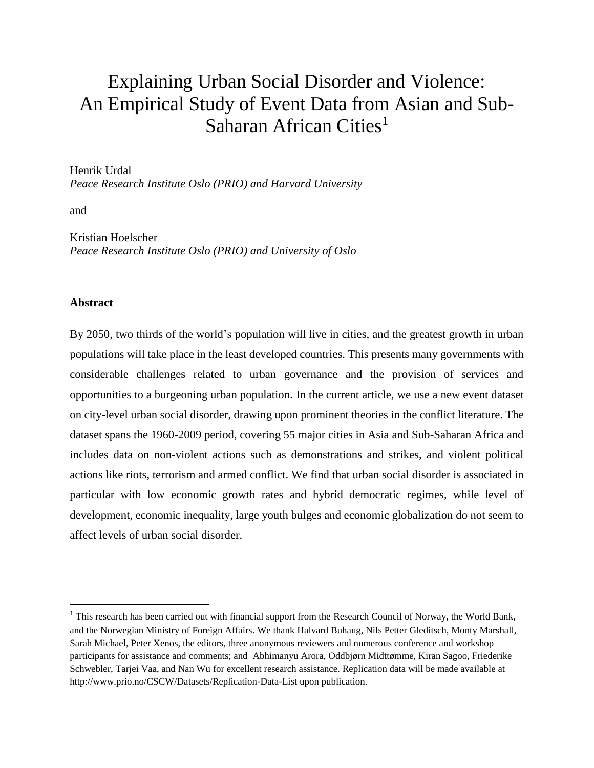# Explaining Urban Social Disorder and Violence: An Empirical Study of Event Data from Asian and Sub-Saharan African Cities<sup>1</sup>

Henrik Urdal

*Peace Research Institute Oslo (PRIO) and Harvard University*

and

Kristian Hoelscher *Peace Research Institute Oslo (PRIO) and University of Oslo*

#### **Abstract**

 $\overline{\phantom{a}}$ 

By 2050, two thirds of the world's population will live in cities, and the greatest growth in urban populations will take place in the least developed countries. This presents many governments with considerable challenges related to urban governance and the provision of services and opportunities to a burgeoning urban population. In the current article, we use a new event dataset on city-level urban social disorder, drawing upon prominent theories in the conflict literature. The dataset spans the 1960-2009 period, covering 55 major cities in Asia and Sub-Saharan Africa and includes data on non-violent actions such as demonstrations and strikes, and violent political actions like riots, terrorism and armed conflict. We find that urban social disorder is associated in particular with low economic growth rates and hybrid democratic regimes, while level of development, economic inequality, large youth bulges and economic globalization do not seem to affect levels of urban social disorder.

<sup>&</sup>lt;sup>1</sup> This research has been carried out with financial support from the Research Council of Norway, the World Bank, and the Norwegian Ministry of Foreign Affairs. We thank Halvard Buhaug, Nils Petter Gleditsch, Monty Marshall, Sarah Michael, Peter Xenos, the editors, three anonymous reviewers and numerous conference and workshop participants for assistance and comments; and Abhimanyu Arora, Oddbjørn Midttømme, Kiran Sagoo, Friederike Schwebler, Tarjei Vaa, and Nan Wu for excellent research assistance. Replication data will be made available at http://www.prio.no/CSCW/Datasets/Replication-Data-List upon publication.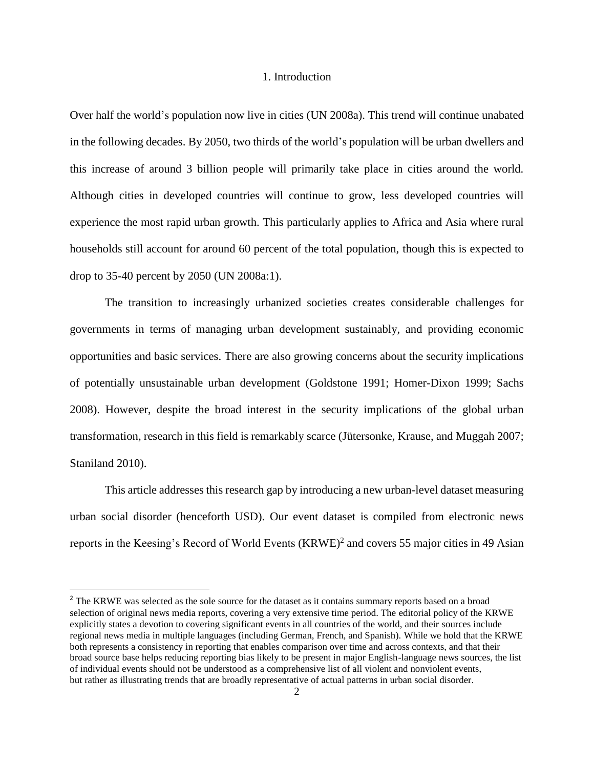#### 1. Introduction

Over half the world's population now live in cities (UN 2008a). This trend will continue unabated in the following decades. By 2050, two thirds of the world's population will be urban dwellers and this increase of around 3 billion people will primarily take place in cities around the world. Although cities in developed countries will continue to grow, less developed countries will experience the most rapid urban growth. This particularly applies to Africa and Asia where rural households still account for around 60 percent of the total population, though this is expected to drop to 35-40 percent by 2050 (UN 2008a:1).

The transition to increasingly urbanized societies creates considerable challenges for governments in terms of managing urban development sustainably, and providing economic opportunities and basic services. There are also growing concerns about the security implications of potentially unsustainable urban development (Goldstone 1991; Homer-Dixon 1999; Sachs 2008). However, despite the broad interest in the security implications of the global urban transformation, research in this field is remarkably scarce (Jütersonke, Krause, and Muggah 2007; Staniland 2010).

This article addresses this research gap by introducing a new urban-level dataset measuring urban social disorder (henceforth USD). Our event dataset is compiled from electronic news reports in the Keesing's Record of World Events (KRWE)<sup>2</sup> and covers 55 major cities in 49 Asian

<sup>&</sup>lt;sup>2</sup> The KRWE was selected as the sole source for the dataset as it contains summary reports based on a broad selection of original news media reports, covering a very extensive time period. The editorial policy of the KRWE explicitly states a devotion to covering significant events in all countries of the world, and their sources include regional news media in multiple languages (including German, French, and Spanish). While we hold that the KRWE both represents a consistency in reporting that enables comparison over time and across contexts, and that their broad source base helps reducing reporting bias likely to be present in major English-language news sources, the list of individual events should not be understood as a comprehensive list of all violent and nonviolent events, but rather as illustrating trends that are broadly representative of actual patterns in urban social disorder.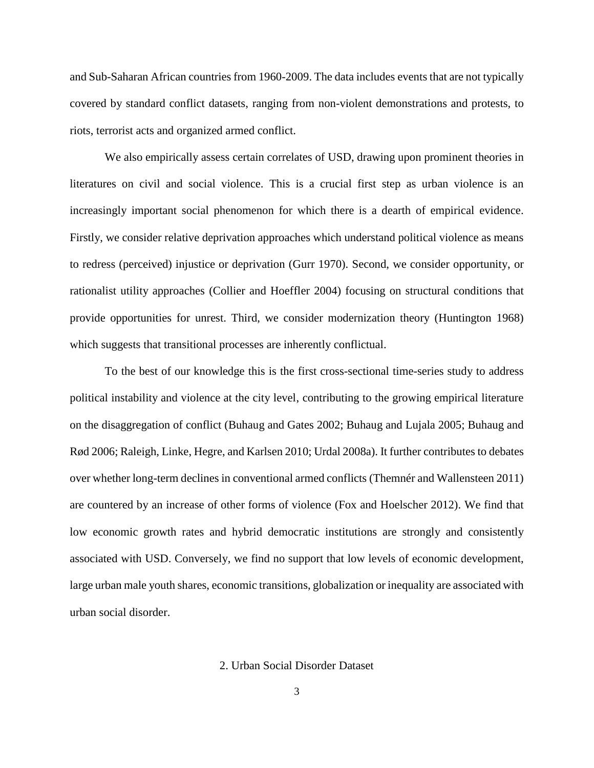and Sub-Saharan African countries from 1960-2009. The data includes events that are not typically covered by standard conflict datasets, ranging from non-violent demonstrations and protests, to riots, terrorist acts and organized armed conflict.

We also empirically assess certain correlates of USD, drawing upon prominent theories in literatures on civil and social violence. This is a crucial first step as urban violence is an increasingly important social phenomenon for which there is a dearth of empirical evidence. Firstly, we consider relative deprivation approaches which understand political violence as means to redress (perceived) injustice or deprivation (Gurr 1970). Second, we consider opportunity, or rationalist utility approaches (Collier and Hoeffler 2004) focusing on structural conditions that provide opportunities for unrest. Third, we consider modernization theory (Huntington 1968) which suggests that transitional processes are inherently conflictual.

To the best of our knowledge this is the first cross-sectional time-series study to address political instability and violence at the city level, contributing to the growing empirical literature on the disaggregation of conflict (Buhaug and Gates 2002; Buhaug and Lujala 2005; Buhaug and Rød 2006; Raleigh, Linke, Hegre, and Karlsen 2010; Urdal 2008a). It further contributes to debates over whether long-term declines in conventional armed conflicts (Themnér and Wallensteen 2011) are countered by an increase of other forms of violence (Fox and Hoelscher 2012). We find that low economic growth rates and hybrid democratic institutions are strongly and consistently associated with USD. Conversely, we find no support that low levels of economic development, large urban male youth shares, economic transitions, globalization or inequality are associated with urban social disorder.

#### 2. Urban Social Disorder Dataset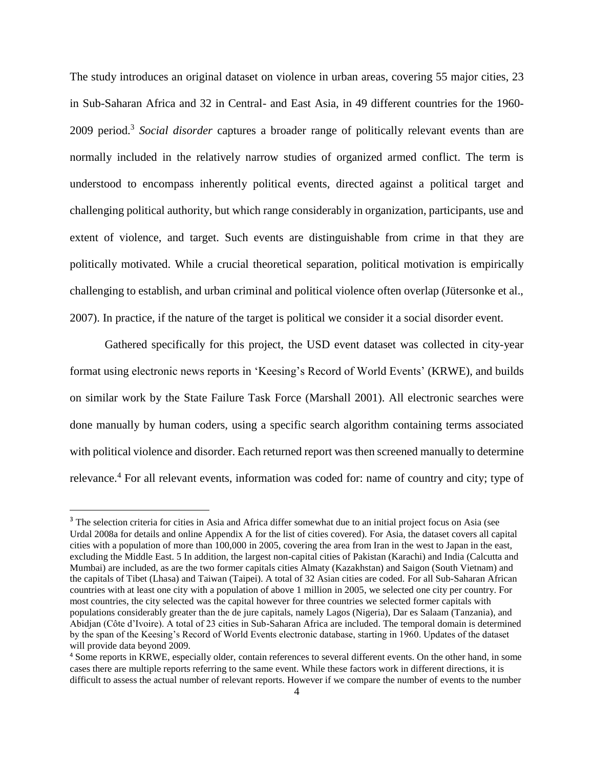The study introduces an original dataset on violence in urban areas, covering 55 major cities, 23 in Sub-Saharan Africa and 32 in Central- and East Asia, in 49 different countries for the 1960- 2009 period.<sup>3</sup> Social disorder captures a broader range of politically relevant events than are normally included in the relatively narrow studies of organized armed conflict. The term is understood to encompass inherently political events, directed against a political target and challenging political authority, but which range considerably in organization, participants, use and extent of violence, and target. Such events are distinguishable from crime in that they are politically motivated. While a crucial theoretical separation, political motivation is empirically challenging to establish, and urban criminal and political violence often overlap (Jütersonke et al., 2007). In practice, if the nature of the target is political we consider it a social disorder event.

Gathered specifically for this project, the USD event dataset was collected in city-year format using electronic news reports in 'Keesing's Record of World Events' (KRWE), and builds on similar work by the State Failure Task Force (Marshall 2001). All electronic searches were done manually by human coders, using a specific search algorithm containing terms associated with political violence and disorder. Each returned report was then screened manually to determine relevance. <sup>4</sup> For all relevant events, information was coded for: name of country and city; type of

<sup>&</sup>lt;sup>3</sup> The selection criteria for cities in Asia and Africa differ somewhat due to an initial project focus on Asia (see Urdal 2008a for details and online Appendix A for the list of cities covered). For Asia, the dataset covers all capital cities with a population of more than 100,000 in 2005, covering the area from Iran in the west to Japan in the east, excluding the Middle East. 5 In addition, the largest non-capital cities of Pakistan (Karachi) and India (Calcutta and Mumbai) are included, as are the two former capitals cities Almaty (Kazakhstan) and Saigon (South Vietnam) and the capitals of Tibet (Lhasa) and Taiwan (Taipei). A total of 32 Asian cities are coded. For all Sub-Saharan African countries with at least one city with a population of above 1 million in 2005, we selected one city per country. For most countries, the city selected was the capital however for three countries we selected former capitals with populations considerably greater than the de jure capitals, namely Lagos (Nigeria), Dar es Salaam (Tanzania), and Abidjan (Côte d'Ivoire). A total of 23 cities in Sub-Saharan Africa are included. The temporal domain is determined by the span of the Keesing's Record of World Events electronic database, starting in 1960. Updates of the dataset will provide data beyond 2009.

<sup>4</sup> Some reports in KRWE, especially older, contain references to several different events. On the other hand, in some cases there are multiple reports referring to the same event. While these factors work in different directions, it is difficult to assess the actual number of relevant reports. However if we compare the number of events to the number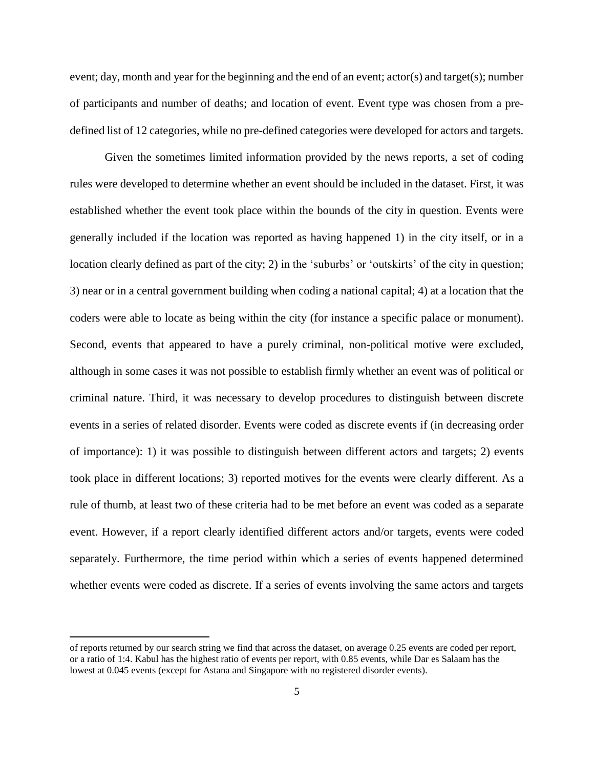event; day, month and year for the beginning and the end of an event; actor(s) and target(s); number of participants and number of deaths; and location of event. Event type was chosen from a predefined list of 12 categories, while no pre-defined categories were developed for actors and targets.

Given the sometimes limited information provided by the news reports, a set of coding rules were developed to determine whether an event should be included in the dataset. First, it was established whether the event took place within the bounds of the city in question. Events were generally included if the location was reported as having happened 1) in the city itself, or in a location clearly defined as part of the city; 2) in the 'suburbs' or 'outskirts' of the city in question; 3) near or in a central government building when coding a national capital; 4) at a location that the coders were able to locate as being within the city (for instance a specific palace or monument). Second, events that appeared to have a purely criminal, non-political motive were excluded, although in some cases it was not possible to establish firmly whether an event was of political or criminal nature. Third, it was necessary to develop procedures to distinguish between discrete events in a series of related disorder. Events were coded as discrete events if (in decreasing order of importance): 1) it was possible to distinguish between different actors and targets; 2) events took place in different locations; 3) reported motives for the events were clearly different. As a rule of thumb, at least two of these criteria had to be met before an event was coded as a separate event. However, if a report clearly identified different actors and/or targets, events were coded separately. Furthermore, the time period within which a series of events happened determined whether events were coded as discrete. If a series of events involving the same actors and targets

l

of reports returned by our search string we find that across the dataset, on average 0.25 events are coded per report, or a ratio of 1:4. Kabul has the highest ratio of events per report, with 0.85 events, while Dar es Salaam has the lowest at 0.045 events (except for Astana and Singapore with no registered disorder events).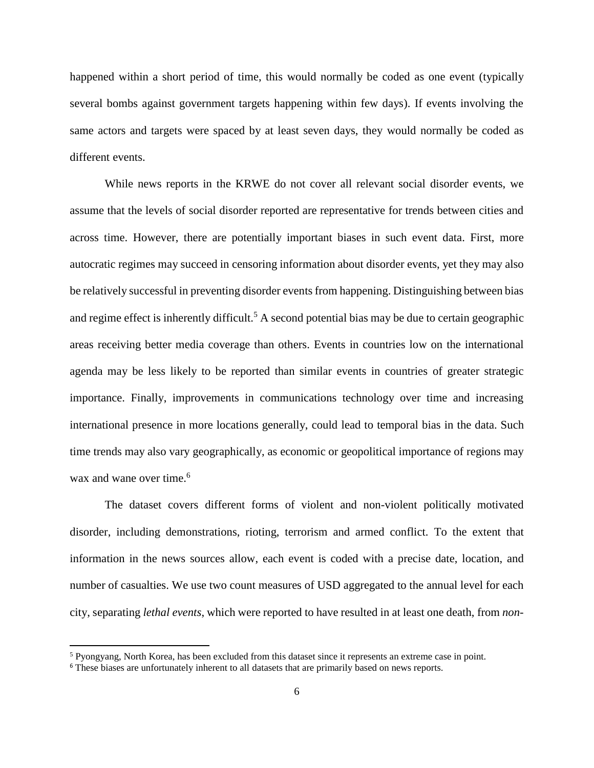happened within a short period of time, this would normally be coded as one event (typically several bombs against government targets happening within few days). If events involving the same actors and targets were spaced by at least seven days, they would normally be coded as different events.

While news reports in the KRWE do not cover all relevant social disorder events, we assume that the levels of social disorder reported are representative for trends between cities and across time. However, there are potentially important biases in such event data. First, more autocratic regimes may succeed in censoring information about disorder events, yet they may also be relatively successful in preventing disorder events from happening. Distinguishing between bias and regime effect is inherently difficult.<sup>5</sup> A second potential bias may be due to certain geographic areas receiving better media coverage than others. Events in countries low on the international agenda may be less likely to be reported than similar events in countries of greater strategic importance. Finally, improvements in communications technology over time and increasing international presence in more locations generally, could lead to temporal bias in the data. Such time trends may also vary geographically, as economic or geopolitical importance of regions may wax and wane over time. 6

The dataset covers different forms of violent and non-violent politically motivated disorder, including demonstrations, rioting, terrorism and armed conflict. To the extent that information in the news sources allow, each event is coded with a precise date, location, and number of casualties. We use two count measures of USD aggregated to the annual level for each city, separating *lethal events*, which were reported to have resulted in at least one death, from *non-*

 $\overline{a}$ 

<sup>5</sup> Pyongyang, North Korea, has been excluded from this dataset since it represents an extreme case in point.

<sup>&</sup>lt;sup>6</sup> These biases are unfortunately inherent to all datasets that are primarily based on news reports.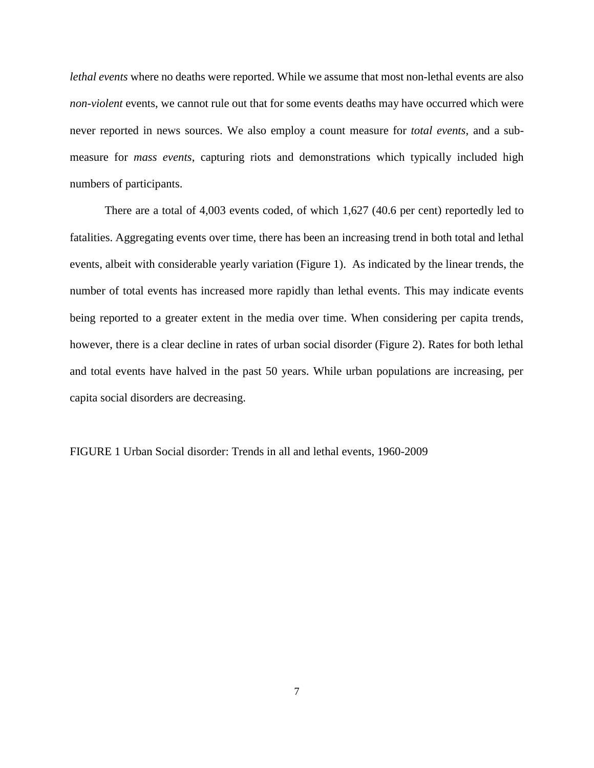*lethal events* where no deaths were reported. While we assume that most non-lethal events are also *non-violent* events, we cannot rule out that for some events deaths may have occurred which were never reported in news sources. We also employ a count measure for *total events*, and a submeasure for *mass events*, capturing riots and demonstrations which typically included high numbers of participants.

There are a total of 4,003 events coded, of which 1,627 (40.6 per cent) reportedly led to fatalities. Aggregating events over time, there has been an increasing trend in both total and lethal events, albeit with considerable yearly variation (Figure 1). As indicated by the linear trends, the number of total events has increased more rapidly than lethal events. This may indicate events being reported to a greater extent in the media over time. When considering per capita trends, however, there is a clear decline in rates of urban social disorder (Figure 2). Rates for both lethal and total events have halved in the past 50 years. While urban populations are increasing, per capita social disorders are decreasing.

FIGURE 1 Urban Social disorder: Trends in all and lethal events, 1960-2009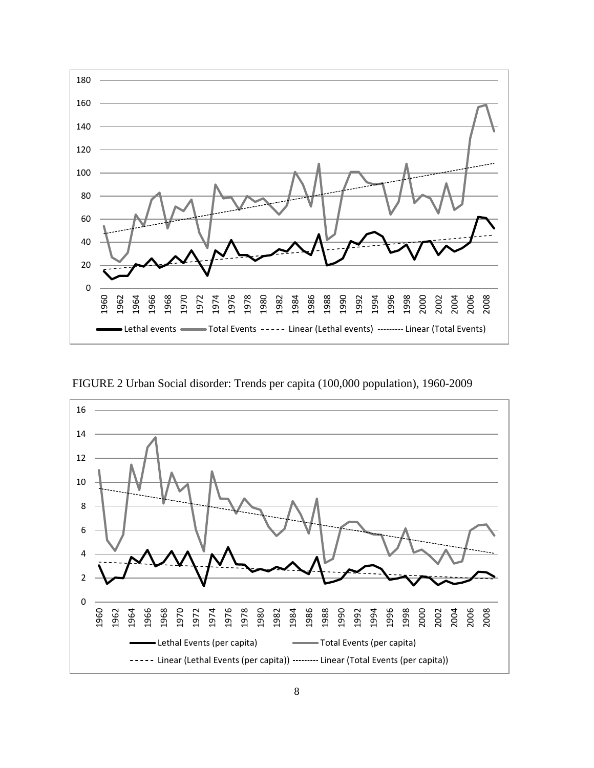

FIGURE 2 Urban Social disorder: Trends per capita (100,000 population), 1960-2009

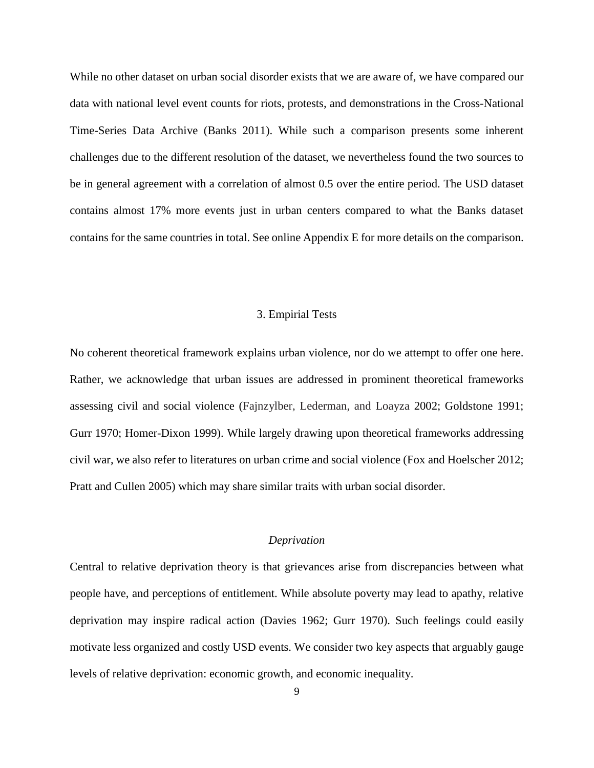While no other dataset on urban social disorder exists that we are aware of, we have compared our data with national level event counts for riots, protests, and demonstrations in the Cross-National Time-Series Data Archive (Banks 2011). While such a comparison presents some inherent challenges due to the different resolution of the dataset, we nevertheless found the two sources to be in general agreement with a correlation of almost 0.5 over the entire period. The USD dataset contains almost 17% more events just in urban centers compared to what the Banks dataset contains for the same countries in total. See online Appendix E for more details on the comparison.

#### 3. Empirial Tests

No coherent theoretical framework explains urban violence, nor do we attempt to offer one here. Rather, we acknowledge that urban issues are addressed in prominent theoretical frameworks assessing civil and social violence (Fajnzylber, Lederman, and Loayza 2002; Goldstone 1991; Gurr 1970; Homer-Dixon 1999). While largely drawing upon theoretical frameworks addressing civil war, we also refer to literatures on urban crime and social violence (Fox and Hoelscher 2012; Pratt and Cullen 2005) which may share similar traits with urban social disorder.

### *Deprivation*

Central to relative deprivation theory is that grievances arise from discrepancies between what people have, and perceptions of entitlement. While absolute poverty may lead to apathy, relative deprivation may inspire radical action (Davies 1962; Gurr 1970). Such feelings could easily motivate less organized and costly USD events. We consider two key aspects that arguably gauge levels of relative deprivation: economic growth, and economic inequality.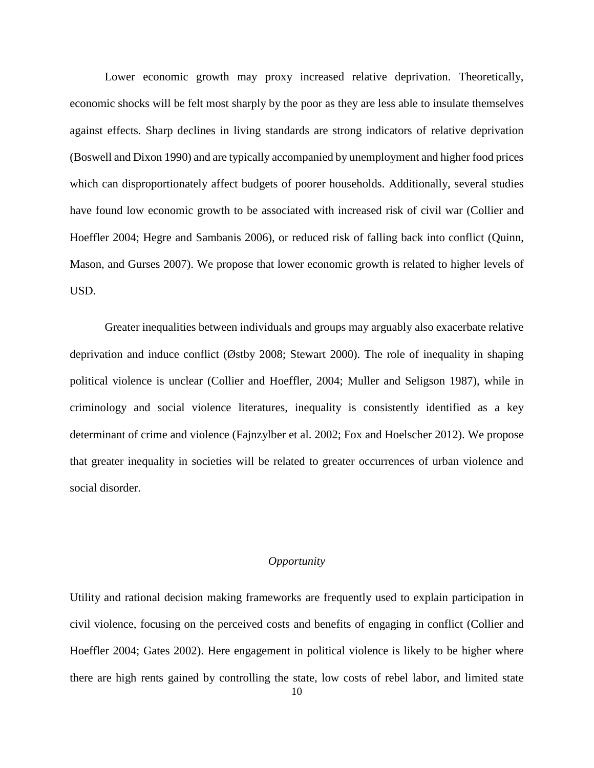Lower economic growth may proxy increased relative deprivation. Theoretically, economic shocks will be felt most sharply by the poor as they are less able to insulate themselves against effects. Sharp declines in living standards are strong indicators of relative deprivation (Boswell and Dixon 1990) and are typically accompanied by unemployment and higher food prices which can disproportionately affect budgets of poorer households. Additionally, several studies have found low economic growth to be associated with increased risk of civil war (Collier and Hoeffler 2004; Hegre and Sambanis 2006), or reduced risk of falling back into conflict (Quinn, Mason, and Gurses 2007). We propose that lower economic growth is related to higher levels of USD.

Greater inequalities between individuals and groups may arguably also exacerbate relative deprivation and induce conflict (Østby 2008; Stewart 2000). The role of inequality in shaping political violence is unclear (Collier and Hoeffler, 2004; Muller and Seligson 1987), while in criminology and social violence literatures, inequality is consistently identified as a key determinant of crime and violence (Fajnzylber et al. 2002; Fox and Hoelscher 2012). We propose that greater inequality in societies will be related to greater occurrences of urban violence and social disorder.

# *Opportunity*

Utility and rational decision making frameworks are frequently used to explain participation in civil violence, focusing on the perceived costs and benefits of engaging in conflict (Collier and Hoeffler 2004; Gates 2002). Here engagement in political violence is likely to be higher where there are high rents gained by controlling the state, low costs of rebel labor, and limited state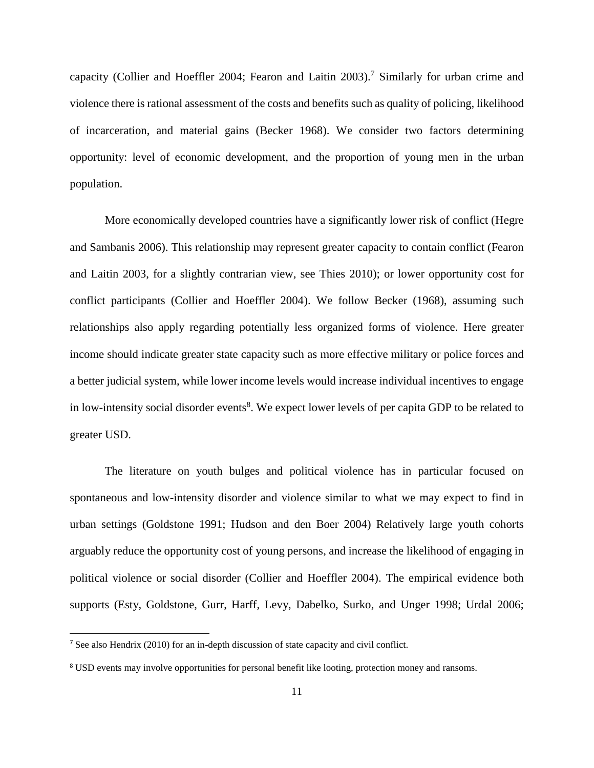capacity (Collier and Hoeffler 2004; Fearon and Laitin 2003).<sup>7</sup> Similarly for urban crime and violence there is rational assessment of the costs and benefits such as quality of policing, likelihood of incarceration, and material gains (Becker 1968). We consider two factors determining opportunity: level of economic development, and the proportion of young men in the urban population.

More economically developed countries have a significantly lower risk of conflict (Hegre and Sambanis 2006). This relationship may represent greater capacity to contain conflict (Fearon and Laitin 2003, for a slightly contrarian view, see Thies 2010); or lower opportunity cost for conflict participants (Collier and Hoeffler 2004). We follow Becker (1968), assuming such relationships also apply regarding potentially less organized forms of violence. Here greater income should indicate greater state capacity such as more effective military or police forces and a better judicial system, while lower income levels would increase individual incentives to engage in low-intensity social disorder events<sup>8</sup>. We expect lower levels of per capita GDP to be related to greater USD.

The literature on youth bulges and political violence has in particular focused on spontaneous and low-intensity disorder and violence similar to what we may expect to find in urban settings (Goldstone 1991; Hudson and den Boer 2004) Relatively large youth cohorts arguably reduce the opportunity cost of young persons, and increase the likelihood of engaging in political violence or social disorder (Collier and Hoeffler 2004). The empirical evidence both supports (Esty, Goldstone, Gurr, Harff, Levy, Dabelko, Surko, and Unger 1998; Urdal 2006;

<sup>7</sup> See also Hendrix (2010) for an in-depth discussion of state capacity and civil conflict.

<sup>&</sup>lt;sup>8</sup> USD events may involve opportunities for personal benefit like looting, protection money and ransoms.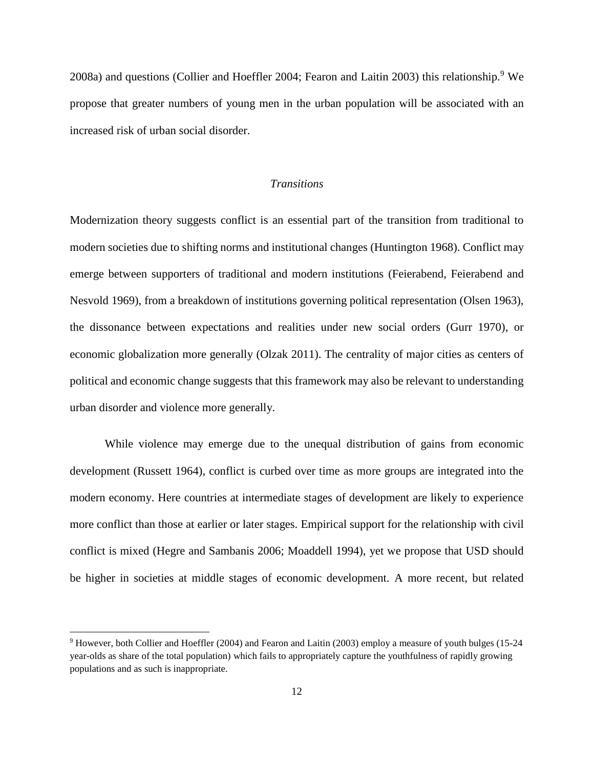2008a) and questions (Collier and Hoeffler 2004; Fearon and Laitin 2003) this relationship.<sup>9</sup> We propose that greater numbers of young men in the urban population will be associated with an increased risk of urban social disorder.

#### *Transitions*

Modernization theory suggests conflict is an essential part of the transition from traditional to modern societies due to shifting norms and institutional changes (Huntington 1968). Conflict may emerge between supporters of traditional and modern institutions (Feierabend, Feierabend and Nesvold 1969), from a breakdown of institutions governing political representation (Olsen 1963), the dissonance between expectations and realities under new social orders (Gurr 1970), or economic globalization more generally (Olzak 2011). The centrality of major cities as centers of political and economic change suggests that this framework may also be relevant to understanding urban disorder and violence more generally.

While violence may emerge due to the unequal distribution of gains from economic development (Russett 1964), conflict is curbed over time as more groups are integrated into the modern economy. Here countries at intermediate stages of development are likely to experience more conflict than those at earlier or later stages. Empirical support for the relationship with civil conflict is mixed (Hegre and Sambanis 2006; Moaddell 1994), yet we propose that USD should be higher in societies at middle stages of economic development. A more recent, but related

<sup>9</sup> However, both Collier and Hoeffler (2004) and Fearon and Laitin (2003) employ a measure of youth bulges (15-24 year-olds as share of the total population) which fails to appropriately capture the youthfulness of rapidly growing populations and as such is inappropriate.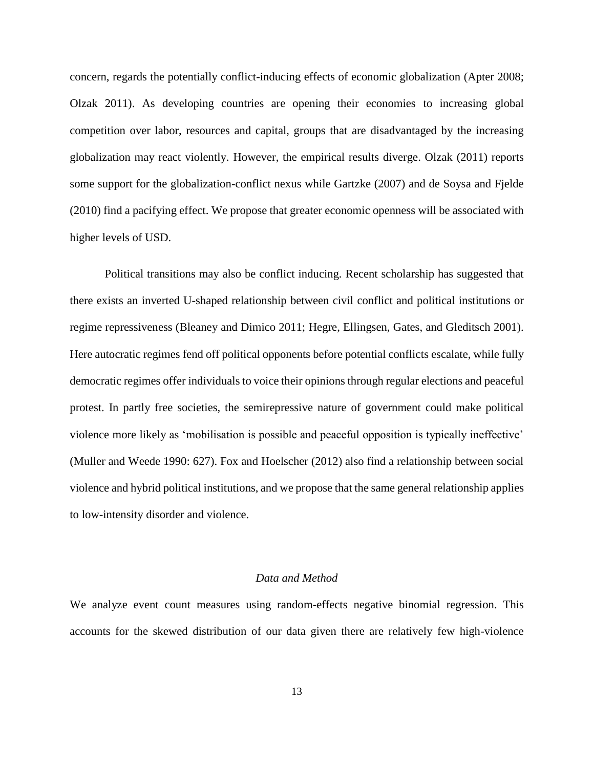concern, regards the potentially conflict-inducing effects of economic globalization (Apter 2008; Olzak 2011). As developing countries are opening their economies to increasing global competition over labor, resources and capital, groups that are disadvantaged by the increasing globalization may react violently. However, the empirical results diverge. Olzak (2011) reports some support for the globalization-conflict nexus while Gartzke (2007) and de Soysa and Fjelde (2010) find a pacifying effect. We propose that greater economic openness will be associated with higher levels of USD.

Political transitions may also be conflict inducing*.* Recent scholarship has suggested that there exists an inverted U-shaped relationship between civil conflict and political institutions or regime repressiveness (Bleaney and Dimico 2011; Hegre, Ellingsen, Gates, and Gleditsch 2001). Here autocratic regimes fend off political opponents before potential conflicts escalate, while fully democratic regimes offer individuals to voice their opinions through regular elections and peaceful protest. In partly free societies, the semirepressive nature of government could make political violence more likely as 'mobilisation is possible and peaceful opposition is typically ineffective' (Muller and Weede 1990: 627). Fox and Hoelscher (2012) also find a relationship between social violence and hybrid political institutions, and we propose that the same general relationship applies to low-intensity disorder and violence.

# *Data and Method*

We analyze event count measures using random-effects negative binomial regression. This accounts for the skewed distribution of our data given there are relatively few high-violence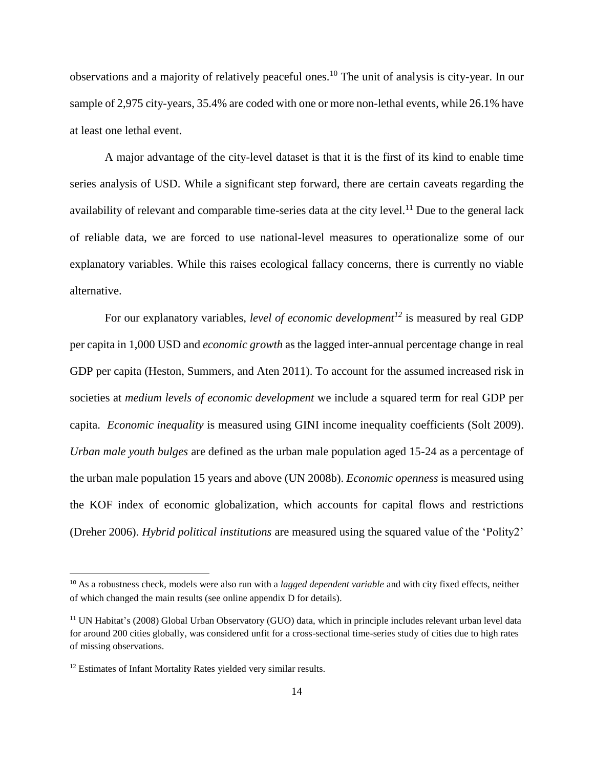observations and a majority of relatively peaceful ones.<sup>10</sup> The unit of analysis is city-year. In our sample of 2,975 city-years, 35.4% are coded with one or more non-lethal events, while 26.1% have at least one lethal event.

A major advantage of the city-level dataset is that it is the first of its kind to enable time series analysis of USD. While a significant step forward, there are certain caveats regarding the availability of relevant and comparable time-series data at the city level.<sup>11</sup> Due to the general lack of reliable data, we are forced to use national-level measures to operationalize some of our explanatory variables. While this raises ecological fallacy concerns, there is currently no viable alternative.

For our explanatory variables, *level of economic development<sup>12</sup>* is measured by real GDP per capita in 1,000 USD and *economic growth* as the lagged inter-annual percentage change in real GDP per capita (Heston, Summers, and Aten 2011). To account for the assumed increased risk in societies at *medium levels of economic development* we include a squared term for real GDP per capita. *Economic inequality* is measured using GINI income inequality coefficients (Solt 2009). *Urban male youth bulges* are defined as the urban male population aged 15-24 as a percentage of the urban male population 15 years and above (UN 2008b). *Economic openness* is measured using the KOF index of economic globalization, which accounts for capital flows and restrictions (Dreher 2006). *Hybrid political institutions* are measured using the squared value of the 'Polity2'

<sup>10</sup> As a robustness check, models were also run with a *lagged dependent variable* and with city fixed effects, neither of which changed the main results (see online appendix D for details).

<sup>11</sup> UN Habitat's (2008) Global Urban Observatory (GUO) data, which in principle includes relevant urban level data for around 200 cities globally, was considered unfit for a cross-sectional time-series study of cities due to high rates of missing observations.

<sup>&</sup>lt;sup>12</sup> Estimates of Infant Mortality Rates yielded very similar results.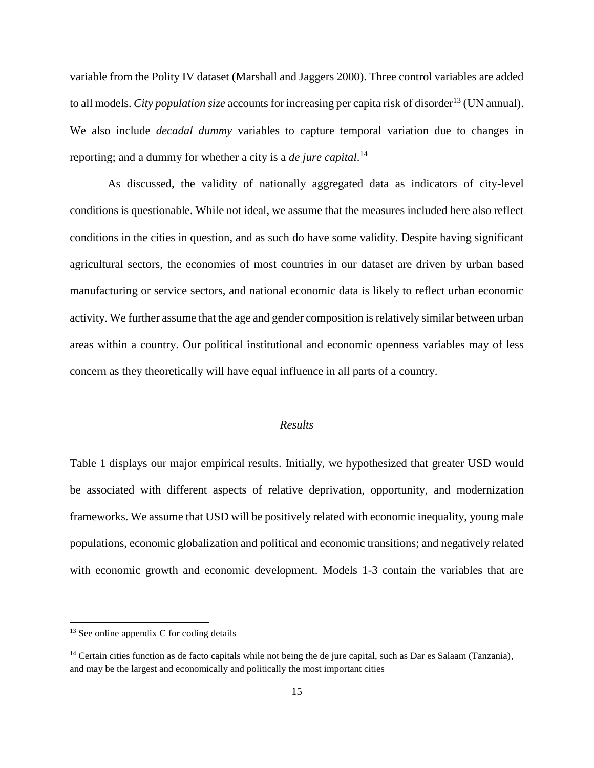variable from the Polity IV dataset (Marshall and Jaggers 2000). Three control variables are added to all models. *City population size* accounts for increasing per capita risk of disorder<sup>13</sup> (UN annual). We also include *decadal dummy* variables to capture temporal variation due to changes in reporting; and a dummy for whether a city is a *de jure capital*. 14

As discussed, the validity of nationally aggregated data as indicators of city-level conditions is questionable. While not ideal, we assume that the measures included here also reflect conditions in the cities in question, and as such do have some validity. Despite having significant agricultural sectors, the economies of most countries in our dataset are driven by urban based manufacturing or service sectors, and national economic data is likely to reflect urban economic activity. We further assume that the age and gender composition is relatively similar between urban areas within a country. Our political institutional and economic openness variables may of less concern as they theoretically will have equal influence in all parts of a country.

#### *Results*

Table 1 displays our major empirical results. Initially, we hypothesized that greater USD would be associated with different aspects of relative deprivation, opportunity, and modernization frameworks. We assume that USD will be positively related with economic inequality, young male populations, economic globalization and political and economic transitions; and negatively related with economic growth and economic development. Models 1-3 contain the variables that are

<sup>&</sup>lt;sup>13</sup> See online appendix C for coding details

 $14$  Certain cities function as de facto capitals while not being the de jure capital, such as Dar es Salaam (Tanzania), and may be the largest and economically and politically the most important cities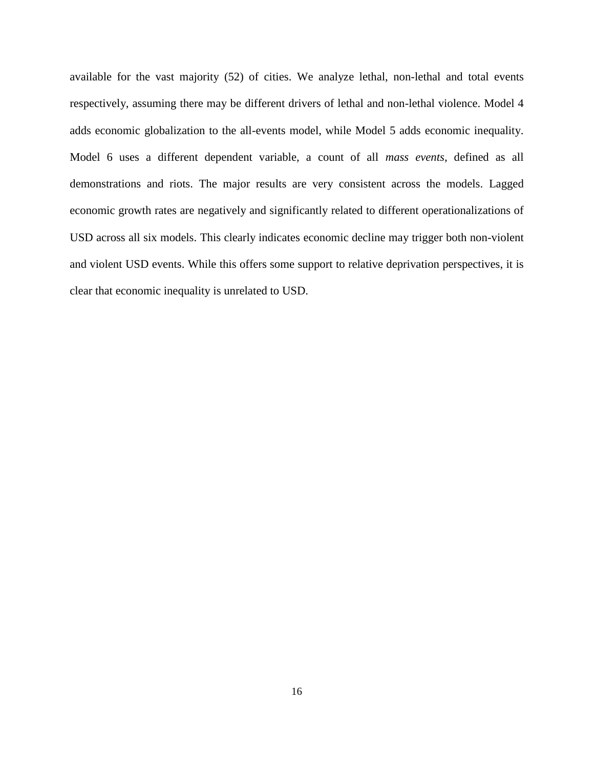available for the vast majority (52) of cities. We analyze lethal, non-lethal and total events respectively, assuming there may be different drivers of lethal and non-lethal violence. Model 4 adds economic globalization to the all-events model, while Model 5 adds economic inequality. Model 6 uses a different dependent variable, a count of all *mass events*, defined as all demonstrations and riots. The major results are very consistent across the models. Lagged economic growth rates are negatively and significantly related to different operationalizations of USD across all six models. This clearly indicates economic decline may trigger both non-violent and violent USD events. While this offers some support to relative deprivation perspectives, it is clear that economic inequality is unrelated to USD.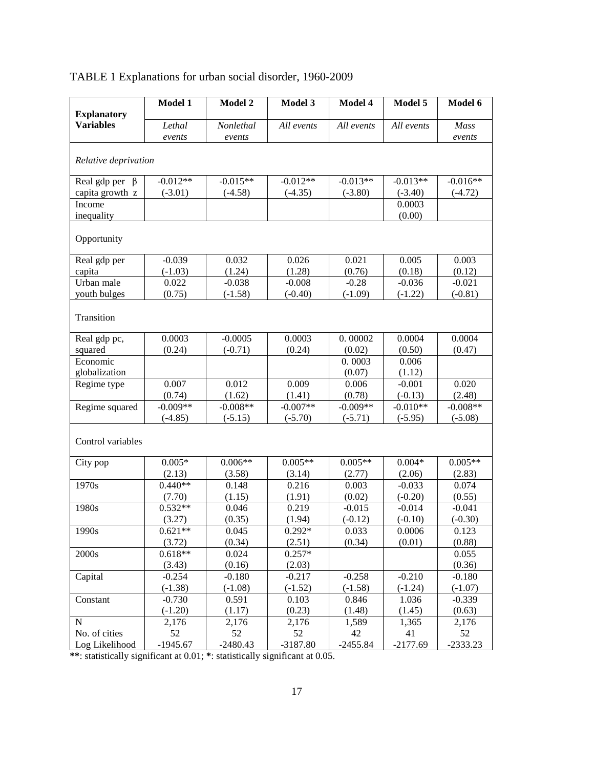| <b>Explanatory</b><br><b>Variables</b> | Model 1          | Model 2             | Model 3          | Model 4          | Model 5          | Model 6        |
|----------------------------------------|------------------|---------------------|------------------|------------------|------------------|----------------|
|                                        | Lethal<br>events | Nonlethal<br>events | All events       | All events       | All events       | Mass<br>events |
| Relative deprivation                   |                  |                     |                  |                  |                  |                |
| Real gdp per $\beta$                   | $-0.012**$       | $-0.015**$          | $-0.012**$       | $-0.013**$       | $-0.013**$       | $-0.016**$     |
| capita growth z                        | $(-3.01)$        | $(-4.58)$           | $(-4.35)$        | $(-3.80)$        | $(-3.40)$        | $(-4.72)$      |
| Income                                 |                  |                     |                  |                  | 0.0003           |                |
| inequality                             |                  |                     |                  |                  | (0.00)           |                |
| Opportunity                            |                  |                     |                  |                  |                  |                |
| Real gdp per                           | $-0.039$         | 0.032               | 0.026            | 0.021            | 0.005            | 0.003          |
| capita                                 | $(-1.03)$        | (1.24)              | (1.28)           | (0.76)           | (0.18)           | (0.12)         |
| Urban male                             | 0.022            | $-0.038$            | $-0.008$         | $-0.28$          | $-0.036$         | $-0.021$       |
| youth bulges                           | (0.75)           | $(-1.58)$           | $(-0.40)$        | $(-1.09)$        | $(-1.22)$        | $(-0.81)$      |
| Transition                             |                  |                     |                  |                  |                  |                |
| Real gdp pc,                           | 0.0003           | $-0.0005$           | 0.0003           | 0.00002          | 0.0004           | 0.0004         |
| squared                                | (0.24)           | $(-0.71)$           | (0.24)           | (0.02)           | (0.50)           | (0.47)         |
| Economic                               |                  |                     |                  | 0.0003           | 0.006            |                |
| globalization                          |                  |                     |                  | (0.07)           | (1.12)           |                |
| Regime type                            | 0.007            | 0.012               | 0.009            | 0.006            | $-0.001$         | 0.020          |
|                                        | (0.74)           | (1.62)              | (1.41)           | (0.78)           | $(-0.13)$        | (2.48)         |
| Regime squared                         | $-0.009**$       | $-0.008**$          | $-0.007**$       | $-0.009**$       | $-0.010**$       | $-0.008**$     |
|                                        | $(-4.85)$        | $(-5.15)$           | $(-5.70)$        | $(-5.71)$        | $(-5.95)$        | $(-5.08)$      |
| Control variables                      |                  |                     |                  |                  |                  |                |
| City pop                               | $0.005*$         | $0.006**$           | $0.005**$        | $0.005**$        | $0.004*$         | $0.005**$      |
|                                        | (2.13)           | (3.58)              | (3.14)           | (2.77)           | (2.06)           | (2.83)         |
| 1970s                                  | $0.440**$        | 0.148               | 0.216            | 0.003            | $-0.033$         | 0.074          |
|                                        | (7.70)           | (1.15)              | (1.91)           | (0.02)           | $(-0.20)$        | (0.55)         |
| 1980s                                  | $0.532**$        | 0.046               | 0.219            | $-0.015$         | $-0.014$         | $-0.041$       |
|                                        | (3.27)           | (0.35)              | (1.94)           | $(-0.12)$        | $(-0.10)$        | $(-0.30)$      |
| 1990s                                  | $0.621**$        | 0.045               | $0.292*$         | 0.033            | 0.0006           | 0.123          |
|                                        | (3.72)           | (0.34)              | (2.51)           | (0.34)           | (0.01)           | (0.88)         |
| 2000s                                  | $0.618**$        | 0.024               | $0.257*$         |                  |                  | 0.055          |
|                                        | (3.43)           | (0.16)              | (2.03)           |                  |                  | (0.36)         |
| Capital                                | $-0.254$         | $-0.180$            | $-0.217$         | $-0.258$         | $-0.210$         | $-0.180$       |
|                                        | $(-1.38)$        | $(-1.08)$           | $(-1.52)$        | $(-1.58)$        | $(-1.24)$        | $(-1.07)$      |
| Constant                               | $-0.730$         | 0.591               | 0.103            | 0.846            | 1.036            | $-0.339$       |
|                                        | $(-1.20)$        | (1.17)              | (0.23)           | (1.48)           | (1.45)           | (0.63)         |
| $\mathbf N$                            | 2,176            | 2,176               | 2,176            | 1,589            | 1,365            | 2,176          |
| No. of cities<br>Log Likelihood        | 52<br>$-1945.67$ | 52<br>$-2480.43$    | 52<br>$-3187.80$ | 42<br>$-2455.84$ | 41<br>$-2177.69$ | 52             |
|                                        |                  |                     |                  |                  |                  | $-2333.23$     |

# TABLE 1 Explanations for urban social disorder, 1960-2009

**\*\***: statistically significant at 0.01; **\***: statistically significant at 0.05.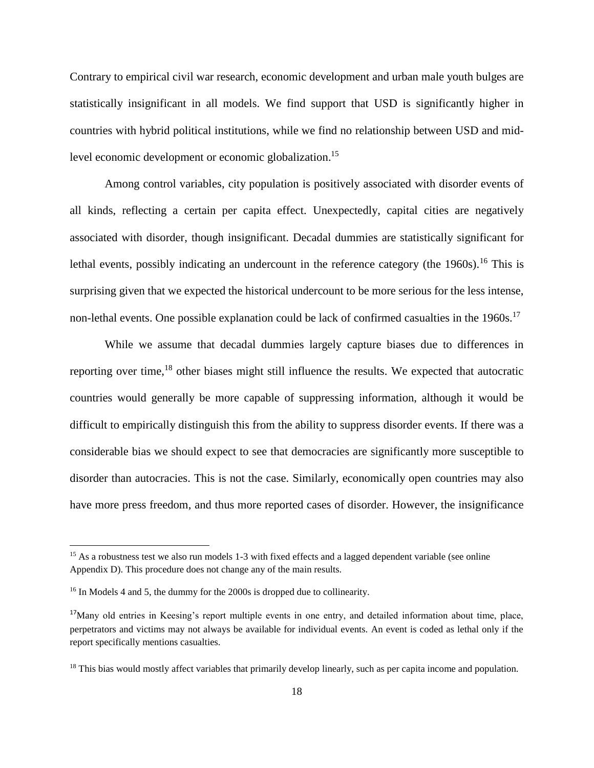Contrary to empirical civil war research, economic development and urban male youth bulges are statistically insignificant in all models. We find support that USD is significantly higher in countries with hybrid political institutions, while we find no relationship between USD and midlevel economic development or economic globalization.<sup>15</sup>

Among control variables, city population is positively associated with disorder events of all kinds, reflecting a certain per capita effect. Unexpectedly, capital cities are negatively associated with disorder, though insignificant. Decadal dummies are statistically significant for lethal events, possibly indicating an undercount in the reference category (the 1960s).<sup>16</sup> This is surprising given that we expected the historical undercount to be more serious for the less intense, non-lethal events. One possible explanation could be lack of confirmed casualties in the 1960s.<sup>17</sup>

While we assume that decadal dummies largely capture biases due to differences in reporting over time,<sup>18</sup> other biases might still influence the results. We expected that autocratic countries would generally be more capable of suppressing information, although it would be difficult to empirically distinguish this from the ability to suppress disorder events. If there was a considerable bias we should expect to see that democracies are significantly more susceptible to disorder than autocracies. This is not the case. Similarly, economically open countries may also have more press freedom, and thus more reported cases of disorder. However, the insignificance

<sup>&</sup>lt;sup>15</sup> As a robustness test we also run models 1-3 with fixed effects and a lagged dependent variable (see online Appendix D). This procedure does not change any of the main results.

<sup>16</sup> In Models 4 and 5, the dummy for the 2000s is dropped due to collinearity.

<sup>17</sup>Many old entries in Keesing's report multiple events in one entry, and detailed information about time, place, perpetrators and victims may not always be available for individual events. An event is coded as lethal only if the report specifically mentions casualties.

 $18$  This bias would mostly affect variables that primarily develop linearly, such as per capita income and population.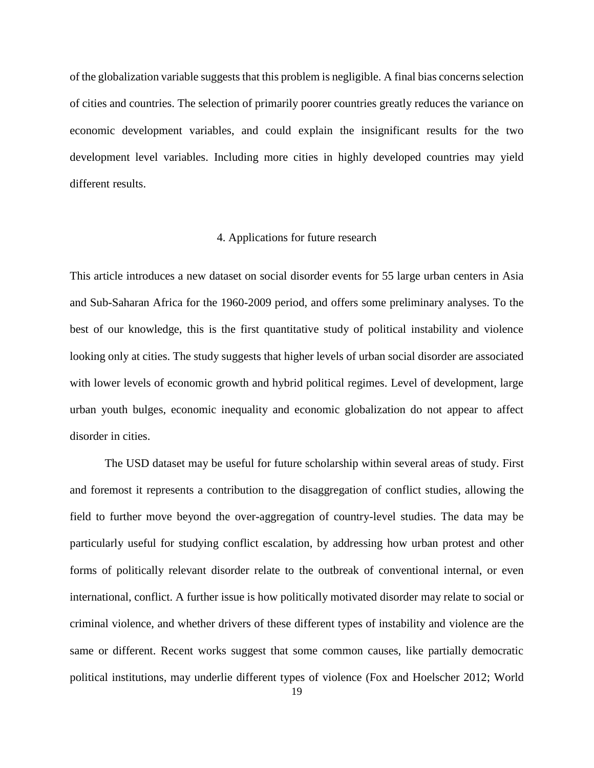of the globalization variable suggests that this problem is negligible. A final bias concerns selection of cities and countries. The selection of primarily poorer countries greatly reduces the variance on economic development variables, and could explain the insignificant results for the two development level variables. Including more cities in highly developed countries may yield different results.

#### 4. Applications for future research

This article introduces a new dataset on social disorder events for 55 large urban centers in Asia and Sub-Saharan Africa for the 1960-2009 period, and offers some preliminary analyses. To the best of our knowledge, this is the first quantitative study of political instability and violence looking only at cities. The study suggests that higher levels of urban social disorder are associated with lower levels of economic growth and hybrid political regimes. Level of development, large urban youth bulges, economic inequality and economic globalization do not appear to affect disorder in cities.

The USD dataset may be useful for future scholarship within several areas of study. First and foremost it represents a contribution to the disaggregation of conflict studies, allowing the field to further move beyond the over-aggregation of country-level studies. The data may be particularly useful for studying conflict escalation, by addressing how urban protest and other forms of politically relevant disorder relate to the outbreak of conventional internal, or even international, conflict. A further issue is how politically motivated disorder may relate to social or criminal violence, and whether drivers of these different types of instability and violence are the same or different. Recent works suggest that some common causes, like partially democratic political institutions, may underlie different types of violence (Fox and Hoelscher 2012; World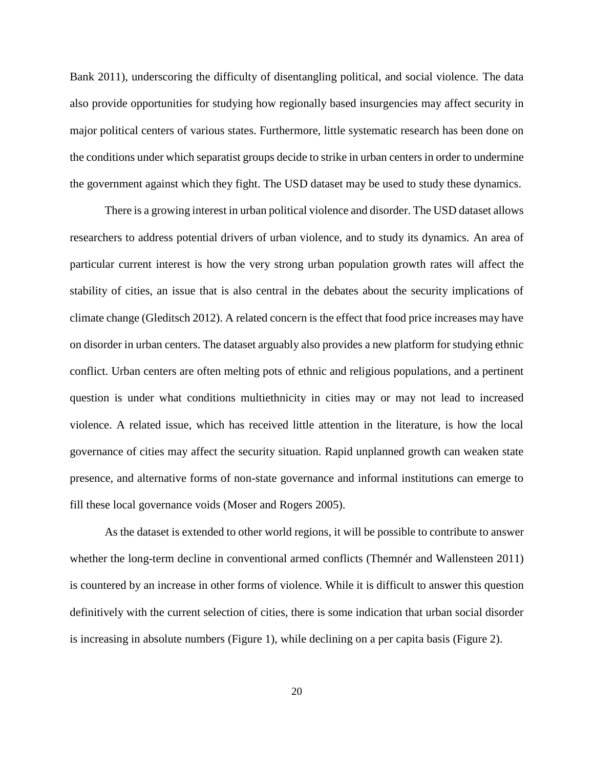Bank 2011), underscoring the difficulty of disentangling political, and social violence. The data also provide opportunities for studying how regionally based insurgencies may affect security in major political centers of various states. Furthermore, little systematic research has been done on the conditions under which separatist groups decide to strike in urban centers in order to undermine the government against which they fight. The USD dataset may be used to study these dynamics.

There is a growing interest in urban political violence and disorder. The USD dataset allows researchers to address potential drivers of urban violence, and to study its dynamics. An area of particular current interest is how the very strong urban population growth rates will affect the stability of cities, an issue that is also central in the debates about the security implications of climate change (Gleditsch 2012). A related concern is the effect that food price increases may have on disorder in urban centers. The dataset arguably also provides a new platform for studying ethnic conflict. Urban centers are often melting pots of ethnic and religious populations, and a pertinent question is under what conditions multiethnicity in cities may or may not lead to increased violence. A related issue, which has received little attention in the literature, is how the local governance of cities may affect the security situation. Rapid unplanned growth can weaken state presence, and alternative forms of non-state governance and informal institutions can emerge to fill these local governance voids (Moser and Rogers 2005).

As the dataset is extended to other world regions, it will be possible to contribute to answer whether the long-term decline in conventional armed conflicts (Themnér and Wallensteen 2011) is countered by an increase in other forms of violence. While it is difficult to answer this question definitively with the current selection of cities, there is some indication that urban social disorder is increasing in absolute numbers (Figure 1), while declining on a per capita basis (Figure 2).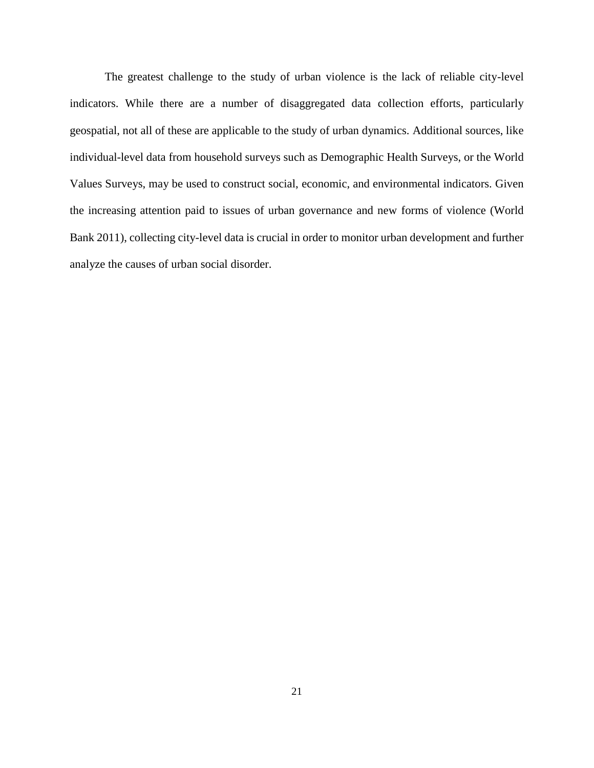The greatest challenge to the study of urban violence is the lack of reliable city-level indicators. While there are a number of disaggregated data collection efforts, particularly geospatial, not all of these are applicable to the study of urban dynamics. Additional sources, like individual-level data from household surveys such as Demographic Health Surveys, or the World Values Surveys, may be used to construct social, economic, and environmental indicators. Given the increasing attention paid to issues of urban governance and new forms of violence (World Bank 2011), collecting city-level data is crucial in order to monitor urban development and further analyze the causes of urban social disorder.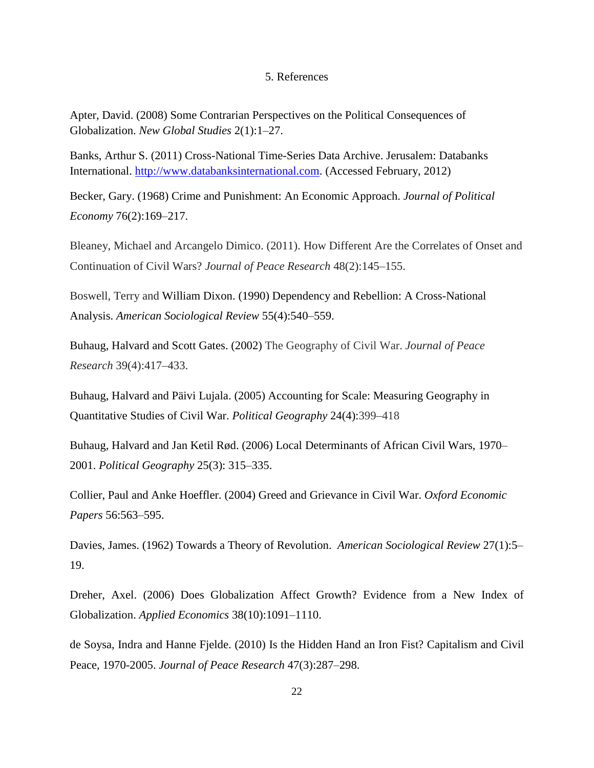#### 5. References

Apter, David. (2008) Some Contrarian Perspectives on the Political Consequences of Globalization. *New Global Studies* 2(1):1–27.

Banks, Arthur S. (2011) Cross-National Time-Series Data Archive. Jerusalem: Databanks International. [http://www.databanksinternational.com.](http://www.databanksinternational.com/) (Accessed February, 2012)

Becker*,* Gary. (1968) Crime and Punishment: An Economic Approach. *Journal of Political Economy* 76(2):169–217.

Bleaney, Michael and Arcangelo Dimico. (2011). How Different Are the Correlates of Onset and Continuation of Civil Wars? *Journal of Peace Research* 48(2):145–155.

Boswell, Terry and William Dixon. (1990) Dependency and Rebellion: A Cross-National Analysis. *American Sociological Review* 55(4):540–559.

Buhaug, Halvard and Scott Gates. (2002) The Geography of Civil War. *Journal of Peace Research* 39(4):417–433.

Buhaug, Halvard and Päivi Lujala. (2005) Accounting for Scale: Measuring Geography in Quantitative Studies of Civil War. *Political Geography* 24(4):399–418

Buhaug, Halvard and Jan Ketil Rød. (2006) Local Determinants of African Civil Wars, 1970– 2001. *Political Geography* 25(3): 315–335.

Collier, Paul and Anke Hoeffler. (2004) Greed and Grievance in Civil War. *Oxford Economic Papers* 56:563–595.

Davies, James. (1962) Towards a Theory of Revolution. *American Sociological Review* 27(1):5– 19.

Dreher, Axel. (2006) Does Globalization Affect Growth? Evidence from a New Index of Globalization. *Applied Economics* 38(10):1091–1110.

de Soysa, Indra and Hanne Fjelde. (2010) Is the Hidden Hand an Iron Fist? Capitalism and Civil Peace, 1970-2005. *Journal of Peace Research* 47(3):287–298.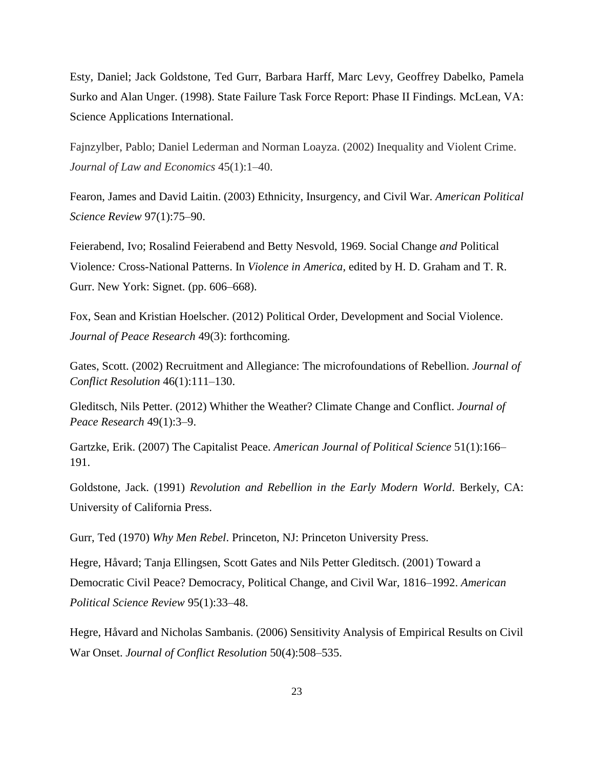Esty, Daniel; Jack Goldstone, Ted Gurr, Barbara Harff, Marc Levy, Geoffrey Dabelko, Pamela Surko and Alan Unger. (1998). State Failure Task Force Report: Phase II Findings*.* McLean, VA: Science Applications International.

Fajnzylber, Pablo; Daniel Lederman and Norman Loayza. (2002) Inequality and Violent Crime. *Journal of Law and Economics* 45(1):1–40.

Fearon, James and David Laitin. (2003) Ethnicity, Insurgency, and Civil War. *American Political Science Review* 97(1):75–90.

Feierabend, Ivo; Rosalind Feierabend and Betty Nesvold, 1969. Social Change *and* Political Violence*:* Cross*-*National Patterns. In *Violence in America,* edited by H. D. Graham and T. R. Gurr. New York: Signet. (pp. 606–668).

Fox, Sean and Kristian Hoelscher. (2012) Political Order, Development and Social Violence. *Journal of Peace Research* 49(3): forthcoming.

Gates, Scott. (2002) Recruitment and Allegiance: The microfoundations of Rebellion. *Journal of Conflict Resolution* 46(1):111–130.

Gleditsch, Nils Petter. (2012) Whither the Weather? Climate Change and Conflict. *Journal of Peace Research* 49(1):3–9.

Gartzke, Erik. (2007) The Capitalist Peace. *American Journal of Political Science* 51(1):166– 191.

Goldstone, Jack. (1991) *Revolution and Rebellion in the Early Modern World*. Berkely, CA: University of California Press.

Gurr, Ted (1970) *Why Men Rebel*. Princeton, NJ: Princeton University Press.

Hegre, Håvard; Tanja Ellingsen, Scott Gates and Nils Petter Gleditsch. (2001) Toward a Democratic Civil Peace? Democracy, Political Change, and Civil War, 1816–1992. *American Political Science Review* 95(1):33–48.

Hegre, Håvard and Nicholas Sambanis. (2006) Sensitivity Analysis of Empirical Results on Civil War Onset. *Journal of Conflict Resolution* 50(4):508–535.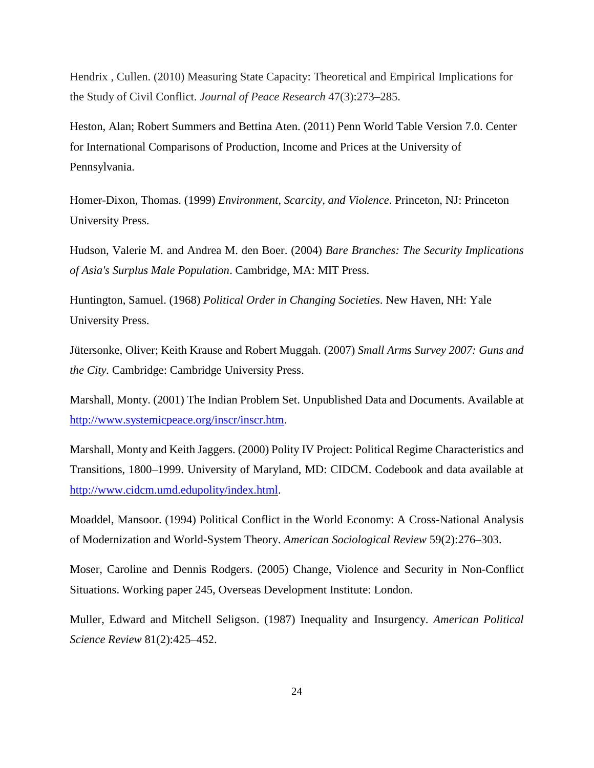Hendrix , Cullen. (2010) Measuring State Capacity: Theoretical and Empirical Implications for the Study of Civil Conflict. *Journal of Peace Research* 47(3):273–285.

Heston, Alan; Robert Summers and Bettina Aten. (2011) Penn World Table Version 7.0. Center for International Comparisons of Production, Income and Prices at the University of Pennsylvania.

Homer-Dixon, Thomas. (1999) *Environment, Scarcity, and Violence*. Princeton, NJ: Princeton University Press.

Hudson, Valerie M. and Andrea M. den Boer. (2004) *Bare Branches: The Security Implications of Asia's Surplus Male Population*. Cambridge, MA: MIT Press.

Huntington, Samuel. (1968) *Political Order in Changing Societies*. New Haven, NH: Yale University Press.

Jütersonke, Oliver; Keith Krause and Robert Muggah. (2007) *Small Arms Survey 2007: Guns and the City.* Cambridge: Cambridge University Press.

Marshall, Monty. (2001) The Indian Problem Set. Unpublished Data and Documents. Available at [http://www.systemicpeace.org/inscr/inscr.htm.](http://www.systemicpeace.org/inscr/inscr.htm)

Marshall, Monty and Keith Jaggers. (2000) Polity IV Project: Political Regime Characteristics and Transitions, 1800–1999. University of Maryland, MD: CIDCM. Codebook and data available at [http://www.cidcm.umd.edupolity/index.html.](http://www.cidcm.umd.edupolity/index.html)

Moaddel, Mansoor. (1994) Political Conflict in the World Economy: A Cross-National Analysis of Modernization and World-System Theory. *American Sociological Review* 59(2):276–303.

Moser, Caroline and Dennis Rodgers. (2005) Change, Violence and Security in Non-Conflict Situations. Working paper 245, Overseas Development Institute: London.

Muller, Edward and Mitchell Seligson. (1987) Inequality and Insurgency. *American Political Science Review* 81(2):425–452.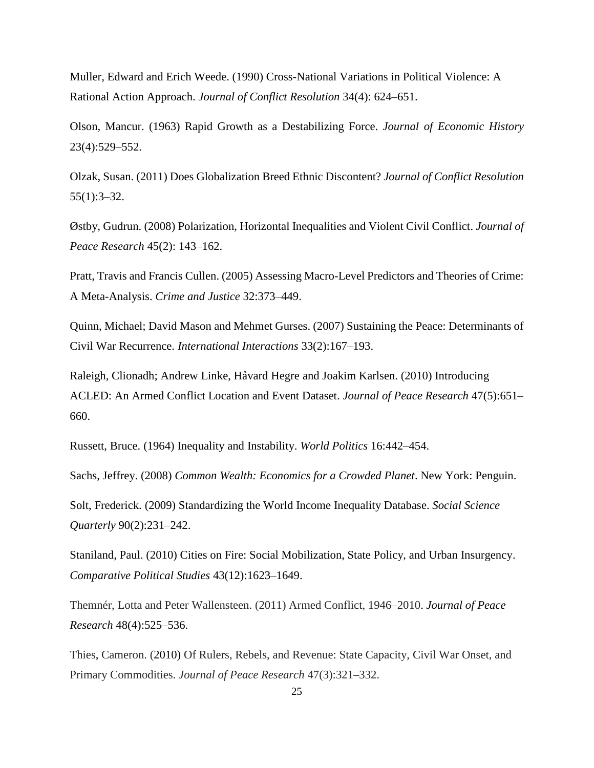Muller, Edward and Erich Weede. (1990) Cross-National Variations in Political Violence: A Rational Action Approach. *Journal of Conflict Resolution* 34(4): 624–651.

Olson, Mancur. (1963) Rapid Growth as a Destabilizing Force. *Journal of Economic History* 23(4):529–552.

Olzak, Susan. (2011) Does Globalization Breed Ethnic Discontent? *Journal of Conflict Resolution* 55(1):3–32.

Østby, Gudrun. (2008) Polarization, Horizontal Inequalities and Violent Civil Conflict. *Journal of Peace Research* 45(2): 143–162.

Pratt, Travis and Francis Cullen. (2005) Assessing Macro-Level Predictors and Theories of Crime: A Meta-Analysis. *Crime and Justice* 32:373–449.

Quinn, Michael; David Mason and Mehmet Gurses. (2007) Sustaining the Peace: Determinants of Civil War Recurrence. *International Interactions* 33(2):167–193.

Raleigh, Clionadh; Andrew Linke, Håvard Hegre and Joakim Karlsen. (2010) Introducing ACLED: An Armed Conflict Location and Event Dataset. *Journal of Peace Research* 47(5):651– 660.

Russett, Bruce. (1964) Inequality and Instability. *World Politics* 16:442–454.

Sachs, Jeffrey. (2008) *Common Wealth: Economics for a Crowded Planet*. New York: Penguin.

Solt, Frederick. (2009) Standardizing the World Income Inequality Database. *Social Science Quarterly* 90(2):231–242.

Staniland, Paul. (2010) Cities on Fire: Social Mobilization, State Policy, and Urban Insurgency. *Comparative Political Studies* 43(12):1623–1649.

Themnér, Lotta and Peter Wallensteen. (2011) Armed Conflict, 1946–2010. *Journal of Peace Research* 48(4):525–536.

Thies, Cameron. (2010) Of Rulers, Rebels, and Revenue: State Capacity, Civil War Onset, and Primary Commodities. *Journal of Peace Research* 47(3):321–332.